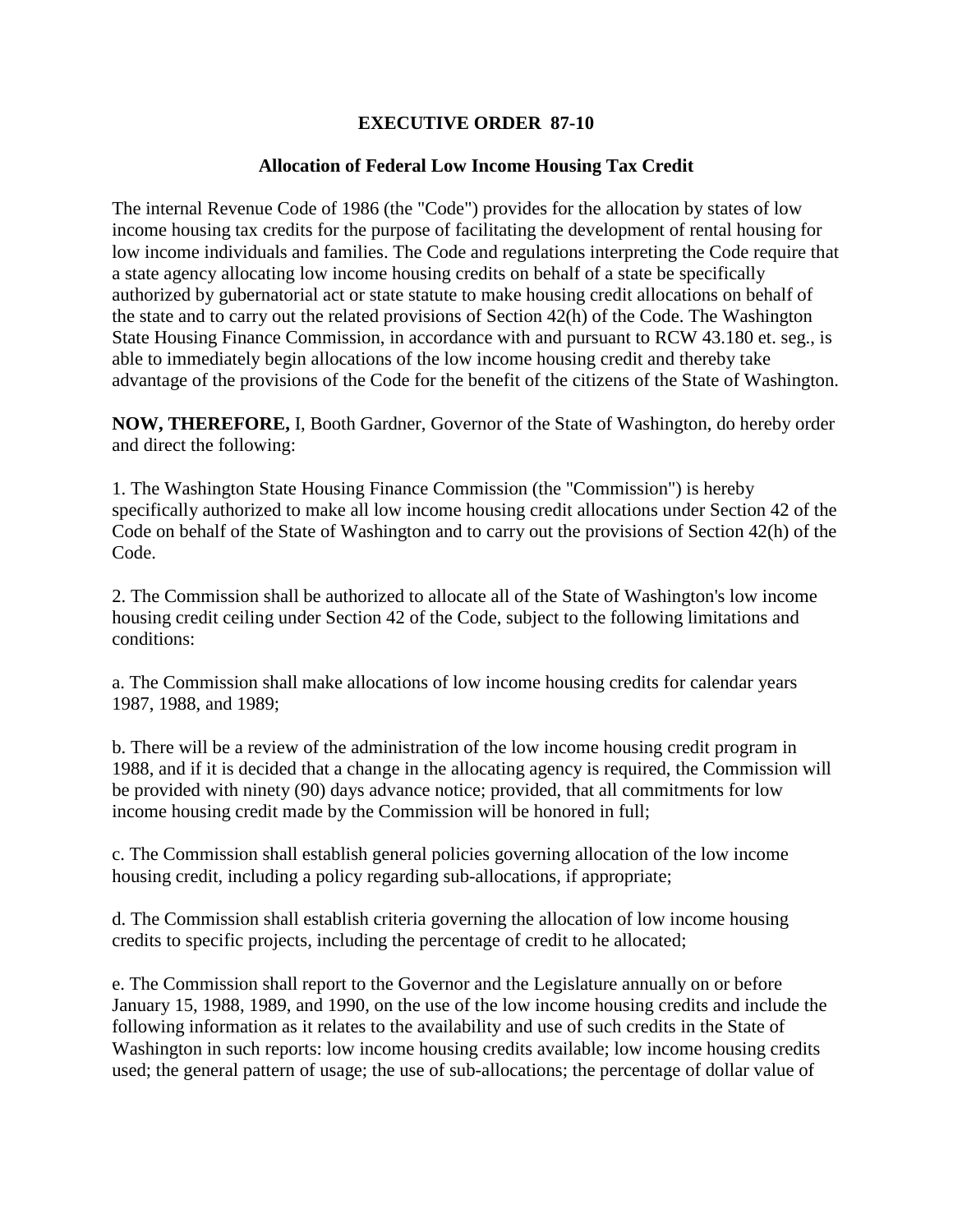## **EXECUTIVE ORDER 87-10**

## **Allocation of Federal Low Income Housing Tax Credit**

The internal Revenue Code of 1986 (the "Code") provides for the allocation by states of low income housing tax credits for the purpose of facilitating the development of rental housing for low income individuals and families. The Code and regulations interpreting the Code require that a state agency allocating low income housing credits on behalf of a state be specifically authorized by gubernatorial act or state statute to make housing credit allocations on behalf of the state and to carry out the related provisions of Section 42(h) of the Code. The Washington State Housing Finance Commission, in accordance with and pursuant to RCW 43.180 et. seg., is able to immediately begin allocations of the low income housing credit and thereby take advantage of the provisions of the Code for the benefit of the citizens of the State of Washington.

**NOW, THEREFORE,** I, Booth Gardner, Governor of the State of Washington, do hereby order and direct the following:

1. The Washington State Housing Finance Commission (the "Commission") is hereby specifically authorized to make all low income housing credit allocations under Section 42 of the Code on behalf of the State of Washington and to carry out the provisions of Section 42(h) of the Code.

2. The Commission shall be authorized to allocate all of the State of Washington's low income housing credit ceiling under Section 42 of the Code, subject to the following limitations and conditions:

a. The Commission shall make allocations of low income housing credits for calendar years 1987, 1988, and 1989;

b. There will be a review of the administration of the low income housing credit program in 1988, and if it is decided that a change in the allocating agency is required, the Commission will be provided with ninety (90) days advance notice; provided, that all commitments for low income housing credit made by the Commission will be honored in full;

c. The Commission shall establish general policies governing allocation of the low income housing credit, including a policy regarding sub-allocations, if appropriate;

d. The Commission shall establish criteria governing the allocation of low income housing credits to specific projects, including the percentage of credit to he allocated;

e. The Commission shall report to the Governor and the Legislature annually on or before January 15, 1988, 1989, and 1990, on the use of the low income housing credits and include the following information as it relates to the availability and use of such credits in the State of Washington in such reports: low income housing credits available; low income housing credits used; the general pattern of usage; the use of sub-allocations; the percentage of dollar value of